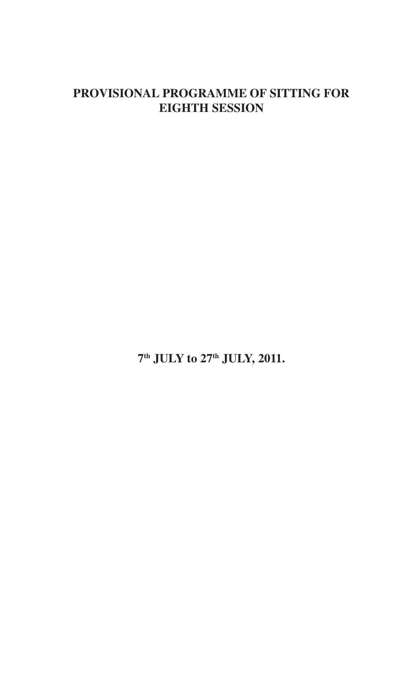## **PROVISIONAL PROGRAMME OF SITTING FOR EIGHTH SESSION**

**7 th JULY to 27th JULY, 2011.**